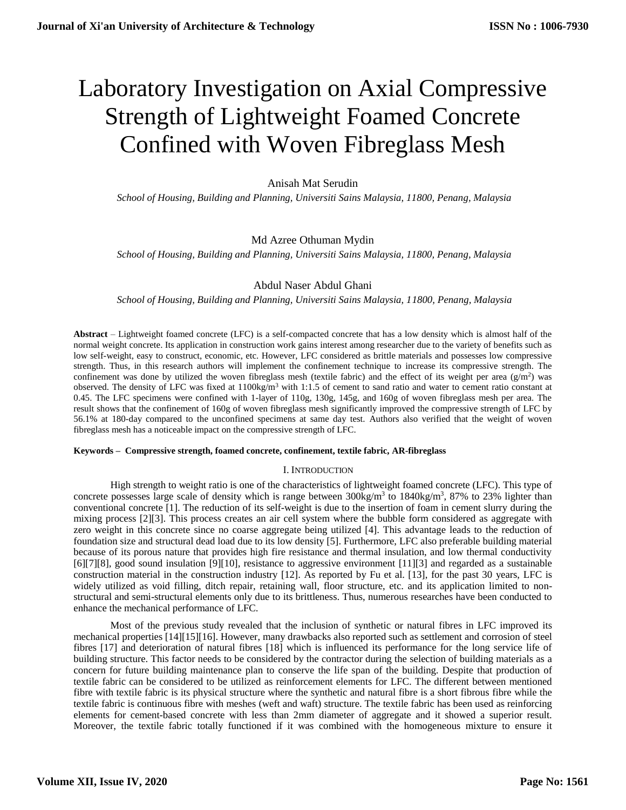# Laboratory Investigation on Axial Compressive Strength of Lightweight Foamed Concrete Confined with Woven Fibreglass Mesh

# Anisah Mat Serudin

 *School of Housing, Building and Planning, Universiti Sains Malaysia, 11800, Penang, Malaysia*

## Md Azree Othuman Mydin

 *School of Housing, Building and Planning, Universiti Sains Malaysia, 11800, Penang, Malaysia*

## Abdul Naser Abdul Ghani

 *School of Housing, Building and Planning, Universiti Sains Malaysia, 11800, Penang, Malaysia*

**Abstract** – Lightweight foamed concrete (LFC) is a self-compacted concrete that has a low density which is almost half of the normal weight concrete. Its application in construction work gains interest among researcher due to the variety of benefits such as low self-weight, easy to construct, economic, etc. However, LFC considered as brittle materials and possesses low compressive strength. Thus, in this research authors will implement the confinement technique to increase its compressive strength. The confinement was done by utilized the woven fibreglass mesh (textile fabric) and the effect of its weight per area  $(g/m^2)$  was observed. The density of LFC was fixed at  $1100\text{kg/m}^3$  with 1:1.5 of cement to sand ratio and water to cement ratio constant at 0.45. The LFC specimens were confined with 1-layer of 110g, 130g, 145g, and 160g of woven fibreglass mesh per area. The result shows that the confinement of 160g of woven fibreglass mesh significantly improved the compressive strength of LFC by 56.1% at 180-day compared to the unconfined specimens at same day test. Authors also verified that the weight of woven fibreglass mesh has a noticeable impact on the compressive strength of LFC.

## **Keywords – Compressive strength, foamed concrete, confinement, textile fabric, AR-fibreglass**

## I. INTRODUCTION

High strength to weight ratio is one of the characteristics of lightweight foamed concrete (LFC). This type of concrete possesses large scale of density which is range between  $300\text{kg/m}^3$  to  $1840\text{kg/m}^3$ , 87% to 23% lighter than conventional concrete [1]. The reduction of its self-weight is due to the insertion of foam in cement slurry during the mixing process [2][3]. This process creates an air cell system where the bubble form considered as aggregate with zero weight in this concrete since no coarse aggregate being utilized [4]. This advantage leads to the reduction of foundation size and structural dead load due to its low density [5]. Furthermore, LFC also preferable building material because of its porous nature that provides high fire resistance and thermal insulation, and low thermal conductivity [6][7][8], good sound insulation [9][10], resistance to aggressive environment [11][3] and regarded as a sustainable construction material in the construction industry [12]. As reported by Fu et al. [13], for the past 30 years, LFC is widely utilized as void filling, ditch repair, retaining wall, floor structure, etc. and its application limited to nonstructural and semi-structural elements only due to its brittleness. Thus, numerous researches have been conducted to enhance the mechanical performance of LFC.

Most of the previous study revealed that the inclusion of synthetic or natural fibres in LFC improved its mechanical properties [14][15][16]. However, many drawbacks also reported such as settlement and corrosion of steel fibres [17] and deterioration of natural fibres [18] which is influenced its performance for the long service life of building structure. This factor needs to be considered by the contractor during the selection of building materials as a concern for future building maintenance plan to conserve the life span of the building. Despite that production of textile fabric can be considered to be utilized as reinforcement elements for LFC. The different between mentioned fibre with textile fabric is its physical structure where the synthetic and natural fibre is a short fibrous fibre while the textile fabric is continuous fibre with meshes (weft and waft) structure. The textile fabric has been used as reinforcing elements for cement-based concrete with less than 2mm diameter of aggregate and it showed a superior result. Moreover, the textile fabric totally functioned if it was combined with the homogeneous mixture to ensure it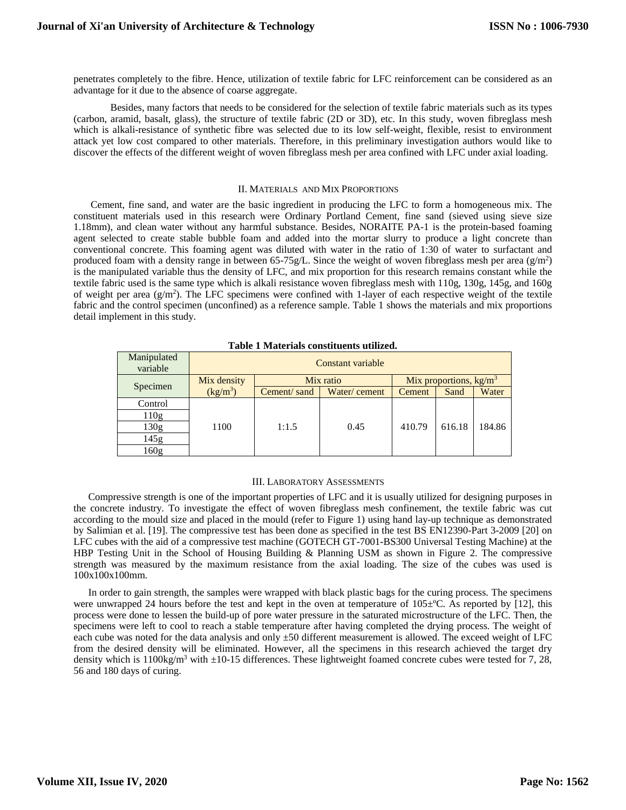penetrates completely to the fibre. Hence, utilization of textile fabric for LFC reinforcement can be considered as an advantage for it due to the absence of coarse aggregate.

Besides, many factors that needs to be considered for the selection of textile fabric materials such as its types (carbon, aramid, basalt, glass), the structure of textile fabric (2D or 3D), etc. In this study, woven fibreglass mesh which is alkali-resistance of synthetic fibre was selected due to its low self-weight, flexible, resist to environment attack yet low cost compared to other materials. Therefore, in this preliminary investigation authors would like to discover the effects of the different weight of woven fibreglass mesh per area confined with LFC under axial loading.

#### II. MATERIALS AND MIX PROPORTIONS

Cement, fine sand, and water are the basic ingredient in producing the LFC to form a homogeneous mix. The constituent materials used in this research were Ordinary Portland Cement, fine sand (sieved using sieve size 1.18mm), and clean water without any harmful substance. Besides, NORAITE PA-1 is the protein-based foaming agent selected to create stable bubble foam and added into the mortar slurry to produce a light concrete than conventional concrete. This foaming agent was diluted with water in the ratio of 1:30 of water to surfactant and produced foam with a density range in between  $65-75g/L$ . Since the weight of woven fibreglass mesh per area  $(g/m^2)$ is the manipulated variable thus the density of LFC, and mix proportion for this research remains constant while the textile fabric used is the same type which is alkali resistance woven fibreglass mesh with 110g, 130g, 145g, and 160g of weight per area  $(g/m^2)$ . The LFC specimens were confined with 1-layer of each respective weight of the textile fabric and the control specimen (unconfined) as a reference sample. Table 1 shows the materials and mix proportions detail implement in this study.

| Table 1 Materials constituents utilized. |                   |             |              |                          |        |        |  |  |  |
|------------------------------------------|-------------------|-------------|--------------|--------------------------|--------|--------|--|--|--|
| Manipulated<br>variable                  | Constant variable |             |              |                          |        |        |  |  |  |
| Specimen                                 | Mix density       | Mix ratio   |              | Mix proportions, $kg/m3$ |        |        |  |  |  |
|                                          | $(kg/m^3)$        | Cement/sand | Water/cement | Cement                   | Sand   | Water  |  |  |  |
| Control                                  |                   |             |              |                          |        |        |  |  |  |
| 110g                                     |                   |             |              |                          |        |        |  |  |  |
| 130 <sub>g</sub>                         | 1100              | 1:1.5       | 0.45         | 410.79                   | 616.18 | 184.86 |  |  |  |
| 145g                                     |                   |             |              |                          |        |        |  |  |  |
| 160g                                     |                   |             |              |                          |        |        |  |  |  |

# **Table 1 Materials constituents utilized.**

#### III. LABORATORY ASSESSMENTS

Compressive strength is one of the important properties of LFC and it is usually utilized for designing purposes in the concrete industry. To investigate the effect of woven fibreglass mesh confinement, the textile fabric was cut according to the mould size and placed in the mould (refer to Figure 1) using hand lay-up technique as demonstrated by Salimian et al. [19]. The compressive test has been done as specified in the test BS EN12390-Part 3-2009 [20] on LFC cubes with the aid of a compressive test machine (GOTECH GT-7001-BS300 Universal Testing Machine) at the HBP Testing Unit in the School of Housing Building & Planning USM as shown in Figure 2. The compressive strength was measured by the maximum resistance from the axial loading. The size of the cubes was used is 100x100x100mm.

In order to gain strength, the samples were wrapped with black plastic bags for the curing process. The specimens were unwrapped 24 hours before the test and kept in the oven at temperature of  $105\pm$ °C. As reported by [12], this process were done to lessen the build-up of pore water pressure in the saturated microstructure of the LFC. Then, the specimens were left to cool to reach a stable temperature after having completed the drying process. The weight of each cube was noted for the data analysis and only  $\pm 50$  different measurement is allowed. The exceed weight of LFC from the desired density will be eliminated. However, all the specimens in this research achieved the target dry density which is  $1100\text{kg/m}^3$  with  $\pm 10-15$  differences. These lightweight foamed concrete cubes were tested for 7, 28, 56 and 180 days of curing.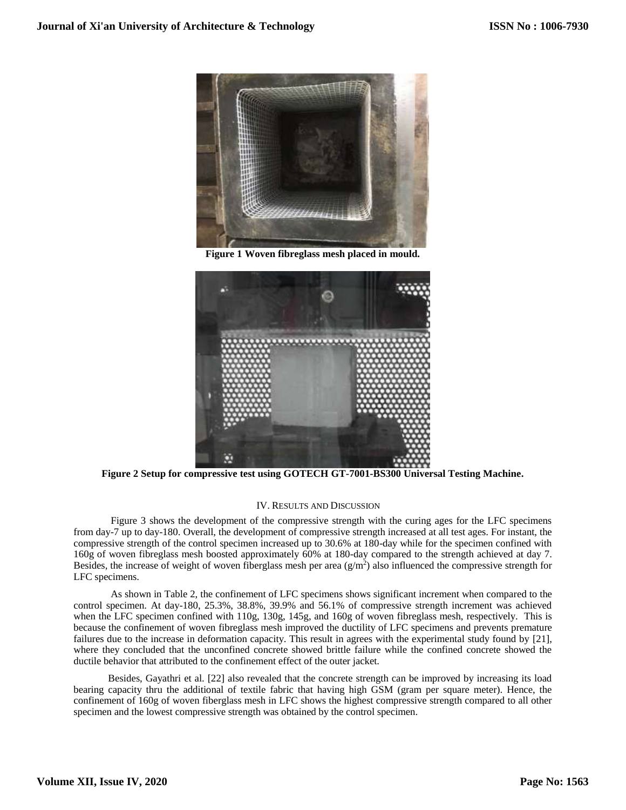

**Figure 1 Woven fibreglass mesh placed in mould.**



**Figure 2 Setup for compressive test using GOTECH GT-7001-BS300 Universal Testing Machine.**

## IV. RESULTS AND DISCUSSION

 Figure 3 shows the development of the compressive strength with the curing ages for the LFC specimens from day-7 up to day-180. Overall, the development of compressive strength increased at all test ages. For instant, the compressive strength of the control specimen increased up to 30.6% at 180-day while for the specimen confined with 160g of woven fibreglass mesh boosted approximately 60% at 180-day compared to the strength achieved at day 7. Besides, the increase of weight of woven fiberglass mesh per area  $(g/m^2)$  also influenced the compressive strength for LFC specimens.

 As shown in Table 2, the confinement of LFC specimens shows significant increment when compared to the control specimen. At day-180, 25.3%, 38.8%, 39.9% and 56.1% of compressive strength increment was achieved when the LFC specimen confined with 110g, 130g, 145g, and 160g of woven fibreglass mesh, respectively. This is because the confinement of woven fibreglass mesh improved the ductility of LFC specimens and prevents premature failures due to the increase in deformation capacity. This result in agrees with the experimental study found by [21], where they concluded that the unconfined concrete showed brittle failure while the confined concrete showed the ductile behavior that attributed to the confinement effect of the outer jacket.

 Besides, Gayathri et al. [22] also revealed that the concrete strength can be improved by increasing its load bearing capacity thru the additional of textile fabric that having high GSM (gram per square meter). Hence, the confinement of 160g of woven fiberglass mesh in LFC shows the highest compressive strength compared to all other specimen and the lowest compressive strength was obtained by the control specimen.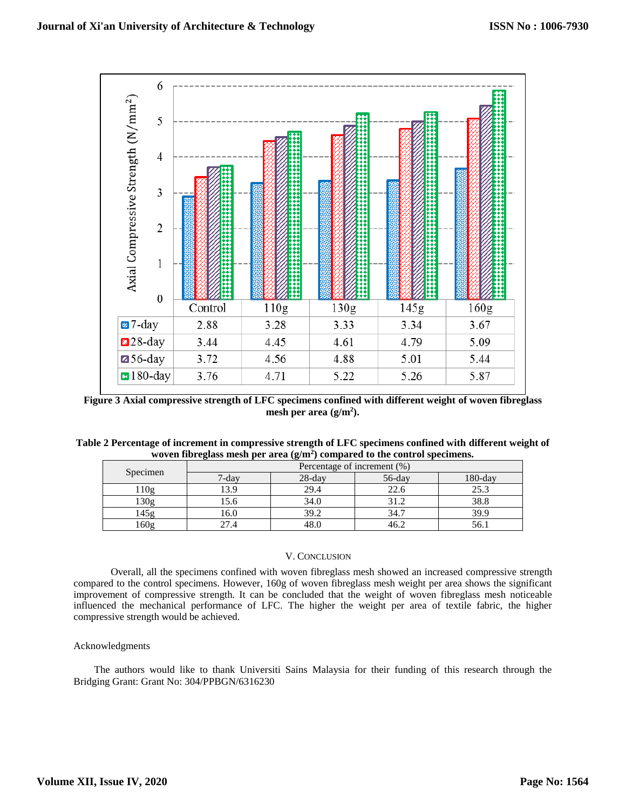

**Figure 3 Axial compressive strength of LFC specimens confined with different weight of woven fibreglass mesh per area (g/m<sup>2</sup> ).**

## **Table 2 Percentage of increment in compressive strength of LFC specimens confined with different weight of woven fibreglass mesh per area (g/m<sup>2</sup> ) compared to the control specimens.**

| Specimen | Percentage of increment (%) |           |           |         |  |  |
|----------|-----------------------------|-----------|-----------|---------|--|--|
|          | $7 - day$                   | $28$ -day | $56$ -day | 180-day |  |  |
| 110g     | 3.9                         | 29.4      | 22.6      | 25.3    |  |  |
| 130g     | .5.6                        | 34.0      | 31.2      | 38.8    |  |  |
|          | 16.0                        | 39.2      | 34.7      | 39.9    |  |  |
| 160g     | 27.4                        | 48.       | 46.4      | CO.     |  |  |

## V. CONCLUSION

 Overall, all the specimens confined with woven fibreglass mesh showed an increased compressive strength compared to the control specimens. However, 160g of woven fibreglass mesh weight per area shows the significant improvement of compressive strength. It can be concluded that the weight of woven fibreglass mesh noticeable influenced the mechanical performance of LFC. The higher the weight per area of textile fabric, the higher compressive strength would be achieved.

## Acknowledgments

 The authors would like to thank Universiti Sains Malaysia for their funding of this research through the Bridging Grant: Grant No: 304/PPBGN/6316230